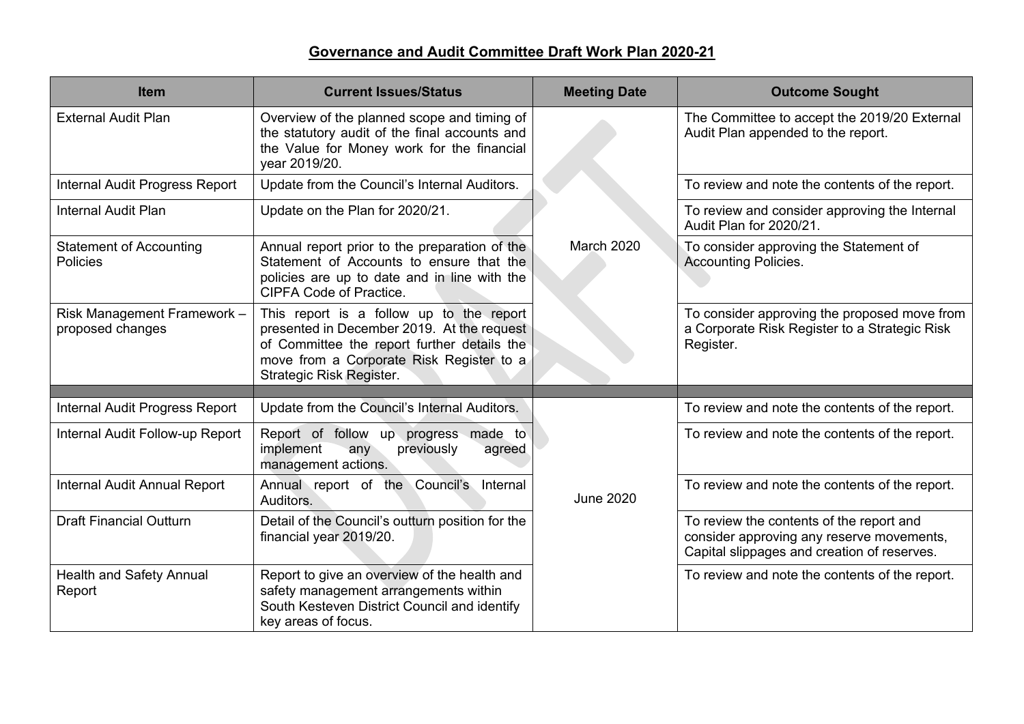| <b>Item</b>                                     | <b>Current Issues/Status</b>                                                                                                                                                                                  | <b>Meeting Date</b> | <b>Outcome Sought</b>                                                                                                                |
|-------------------------------------------------|---------------------------------------------------------------------------------------------------------------------------------------------------------------------------------------------------------------|---------------------|--------------------------------------------------------------------------------------------------------------------------------------|
| <b>External Audit Plan</b>                      | Overview of the planned scope and timing of<br>the statutory audit of the final accounts and<br>the Value for Money work for the financial<br>year 2019/20.                                                   |                     | The Committee to accept the 2019/20 External<br>Audit Plan appended to the report.                                                   |
| <b>Internal Audit Progress Report</b>           | Update from the Council's Internal Auditors.                                                                                                                                                                  |                     | To review and note the contents of the report.                                                                                       |
| <b>Internal Audit Plan</b>                      | Update on the Plan for 2020/21.                                                                                                                                                                               |                     | To review and consider approving the Internal<br>Audit Plan for 2020/21.                                                             |
| <b>Statement of Accounting</b><br>Policies      | Annual report prior to the preparation of the<br>Statement of Accounts to ensure that the<br>policies are up to date and in line with the<br><b>CIPFA Code of Practice.</b>                                   | March 2020          | To consider approving the Statement of<br><b>Accounting Policies.</b>                                                                |
| Risk Management Framework -<br>proposed changes | This report is a follow up to the report<br>presented in December 2019. At the request<br>of Committee the report further details the<br>move from a Corporate Risk Register to a<br>Strategic Risk Register. |                     | To consider approving the proposed move from<br>a Corporate Risk Register to a Strategic Risk<br>Register.                           |
| <b>Internal Audit Progress Report</b>           | Update from the Council's Internal Auditors.                                                                                                                                                                  |                     | To review and note the contents of the report.                                                                                       |
| Internal Audit Follow-up Report                 | Report of follow up progress made to<br>implement<br>previously<br>any<br>agreed<br>management actions.                                                                                                       |                     | To review and note the contents of the report.                                                                                       |
| Internal Audit Annual Report                    | Annual report of the Council's Internal<br>Auditors.                                                                                                                                                          | <b>June 2020</b>    | To review and note the contents of the report.                                                                                       |
| <b>Draft Financial Outturn</b>                  | Detail of the Council's outturn position for the<br>financial year 2019/20.                                                                                                                                   |                     | To review the contents of the report and<br>consider approving any reserve movements,<br>Capital slippages and creation of reserves. |
| Health and Safety Annual<br>Report              | Report to give an overview of the health and<br>safety management arrangements within<br>South Kesteven District Council and identify<br>key areas of focus.                                                  |                     | To review and note the contents of the report.                                                                                       |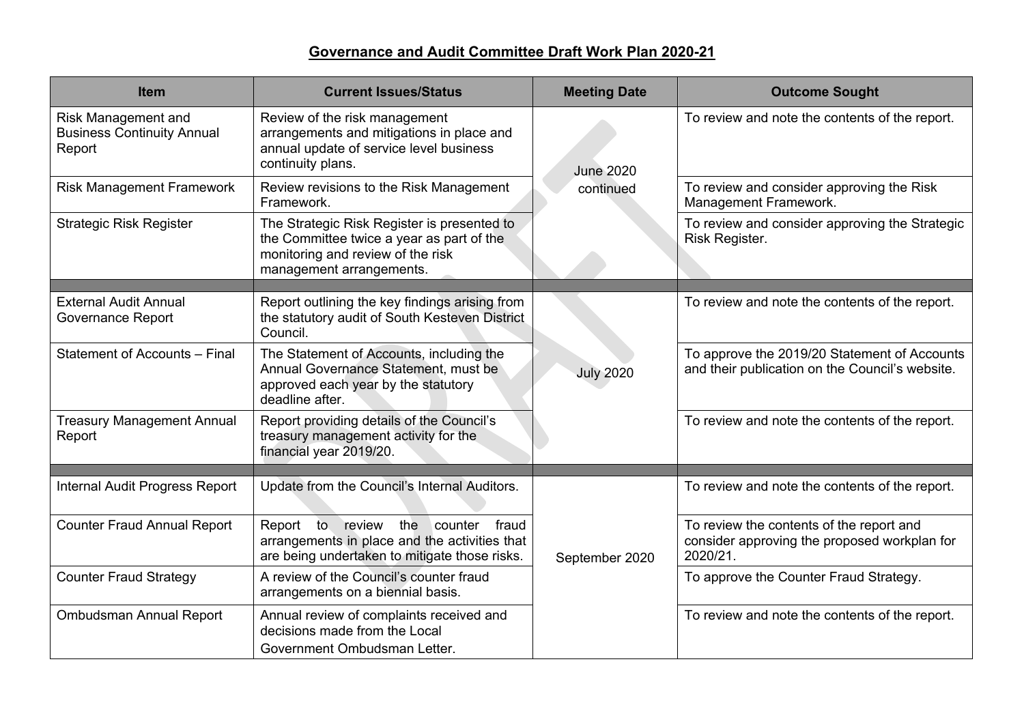| <b>Item</b>                                                        | <b>Current Issues/Status</b>                                                                                                                              | <b>Meeting Date</b> | <b>Outcome Sought</b>                                                                                |
|--------------------------------------------------------------------|-----------------------------------------------------------------------------------------------------------------------------------------------------------|---------------------|------------------------------------------------------------------------------------------------------|
| Risk Management and<br><b>Business Continuity Annual</b><br>Report | Review of the risk management<br>arrangements and mitigations in place and<br>annual update of service level business<br>continuity plans.                | <b>June 2020</b>    | To review and note the contents of the report.                                                       |
| <b>Risk Management Framework</b>                                   | Review revisions to the Risk Management<br>Framework.                                                                                                     | continued           | To review and consider approving the Risk<br>Management Framework.                                   |
| <b>Strategic Risk Register</b>                                     | The Strategic Risk Register is presented to<br>the Committee twice a year as part of the<br>monitoring and review of the risk<br>management arrangements. |                     | To review and consider approving the Strategic<br>Risk Register.                                     |
|                                                                    |                                                                                                                                                           |                     |                                                                                                      |
| <b>External Audit Annual</b><br><b>Governance Report</b>           | Report outlining the key findings arising from<br>the statutory audit of South Kesteven District<br>Council.                                              |                     | To review and note the contents of the report.                                                       |
| Statement of Accounts - Final                                      | The Statement of Accounts, including the<br>Annual Governance Statement, must be<br>approved each year by the statutory<br>deadline after.                | <b>July 2020</b>    | To approve the 2019/20 Statement of Accounts<br>and their publication on the Council's website.      |
| <b>Treasury Management Annual</b><br>Report                        | Report providing details of the Council's<br>treasury management activity for the<br>financial year 2019/20.                                              |                     | To review and note the contents of the report.                                                       |
|                                                                    |                                                                                                                                                           |                     |                                                                                                      |
| <b>Internal Audit Progress Report</b>                              | Update from the Council's Internal Auditors.                                                                                                              |                     | To review and note the contents of the report.                                                       |
| <b>Counter Fraud Annual Report</b>                                 | review the<br>Report to<br>counter<br>fraud<br>arrangements in place and the activities that<br>are being undertaken to mitigate those risks.             | September 2020      | To review the contents of the report and<br>consider approving the proposed workplan for<br>2020/21. |
| <b>Counter Fraud Strategy</b>                                      | A review of the Council's counter fraud<br>arrangements on a biennial basis.                                                                              |                     | To approve the Counter Fraud Strategy.                                                               |
| Ombudsman Annual Report                                            | Annual review of complaints received and<br>decisions made from the Local<br>Government Ombudsman Letter.                                                 |                     | To review and note the contents of the report.                                                       |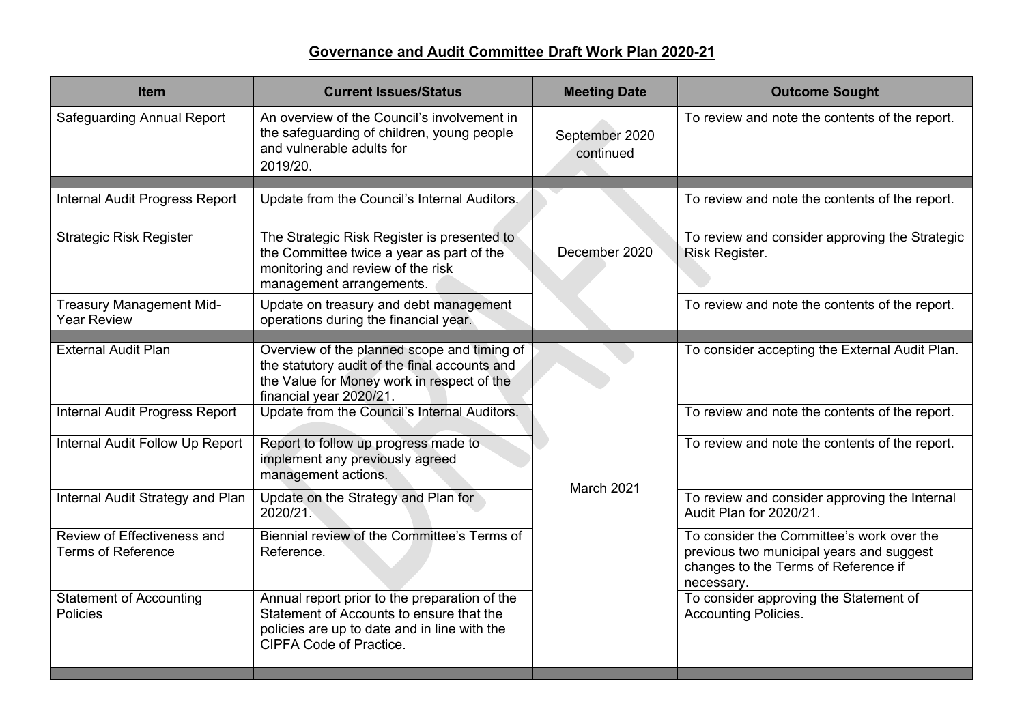| <b>Item</b>                                              | <b>Current Issues/Status</b>                                                                                                                                                | <b>Meeting Date</b>         | <b>Outcome Sought</b>                                                                                                                       |
|----------------------------------------------------------|-----------------------------------------------------------------------------------------------------------------------------------------------------------------------------|-----------------------------|---------------------------------------------------------------------------------------------------------------------------------------------|
| <b>Safeguarding Annual Report</b>                        | An overview of the Council's involvement in<br>the safeguarding of children, young people<br>and vulnerable adults for<br>2019/20.                                          | September 2020<br>continued | To review and note the contents of the report.                                                                                              |
|                                                          |                                                                                                                                                                             |                             |                                                                                                                                             |
| Internal Audit Progress Report                           | Update from the Council's Internal Auditors.                                                                                                                                |                             | To review and note the contents of the report.                                                                                              |
| <b>Strategic Risk Register</b>                           | The Strategic Risk Register is presented to<br>the Committee twice a year as part of the<br>monitoring and review of the risk<br>management arrangements.                   | December 2020               | To review and consider approving the Strategic<br>Risk Register.                                                                            |
| <b>Treasury Management Mid-</b><br><b>Year Review</b>    | Update on treasury and debt management<br>operations during the financial year.                                                                                             |                             | To review and note the contents of the report.                                                                                              |
| <b>External Audit Plan</b>                               | Overview of the planned scope and timing of<br>the statutory audit of the final accounts and<br>the Value for Money work in respect of the<br>financial year 2020/21.       |                             | To consider accepting the External Audit Plan.                                                                                              |
| Internal Audit Progress Report                           | Update from the Council's Internal Auditors.                                                                                                                                |                             | To review and note the contents of the report.                                                                                              |
| Internal Audit Follow Up Report                          | Report to follow up progress made to<br>implement any previously agreed<br>management actions.                                                                              |                             | To review and note the contents of the report.                                                                                              |
| Internal Audit Strategy and Plan                         | Update on the Strategy and Plan for<br>2020/21.                                                                                                                             | March 2021                  | To review and consider approving the Internal<br>Audit Plan for 2020/21.                                                                    |
| Review of Effectiveness and<br><b>Terms of Reference</b> | Biennial review of the Committee's Terms of<br>Reference.                                                                                                                   |                             | To consider the Committee's work over the<br>previous two municipal years and suggest<br>changes to the Terms of Reference if<br>necessary. |
| <b>Statement of Accounting</b><br>Policies               | Annual report prior to the preparation of the<br>Statement of Accounts to ensure that the<br>policies are up to date and in line with the<br><b>CIPFA Code of Practice.</b> |                             | To consider approving the Statement of<br><b>Accounting Policies.</b>                                                                       |
|                                                          |                                                                                                                                                                             |                             |                                                                                                                                             |